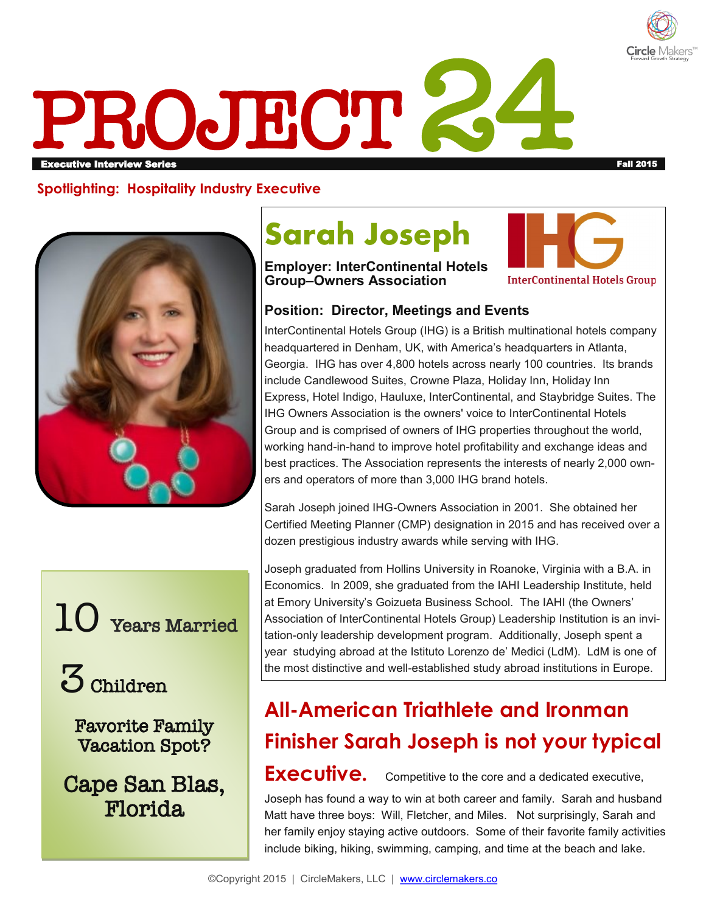

# PROJECT 2 erigie interview Series Fall 2015 in the series of the series fall 2015 in the series of the series fall 2015 i

**Spotlighting: Hospitality Industry Executive**





3 Children

Favorite Family Vacation Spot?

Cape San Blas, Florida

## **Sarah Joseph**

## **Employer: InterContinental Hotels Group–Owners Association**



## **Position: Director, Meetings and Events**

InterContinental Hotels Group (IHG) is a British multinational hotels company headquartered in Denham, UK, with America's headquarters in Atlanta, Georgia. IHG has over 4,800 hotels across nearly 100 countries. Its brands include Candlewood Suites, Crowne Plaza, Holiday Inn, Holiday Inn Express, Hotel Indigo, Hauluxe, InterContinental, and Staybridge Suites. The IHG Owners Association is the owners' voice to InterContinental Hotels Group and is comprised of owners of IHG properties throughout the world, working hand-in-hand to improve hotel profitability and exchange ideas and best practices. The Association represents the interests of nearly 2,000 owners and operators of more than 3,000 IHG brand hotels.

Sarah Joseph joined IHG-Owners Association in 2001. She obtained her Certified Meeting Planner (CMP) designation in 2015 and has received over a dozen prestigious industry awards while serving with IHG.

Joseph graduated from Hollins University in Roanoke, Virginia with a B.A. in Economics. In 2009, she graduated from the IAHI Leadership Institute, held at Emory University's Goizueta Business School. The IAHI (the Owners' Association of InterContinental Hotels Group) Leadership Institution is an invitation-only leadership development program. Additionally, Joseph spent a year studying abroad at the Istituto Lorenzo de' Medici (LdM). LdM is one of the most distinctive and well-established study abroad institutions in Europe.

## **All-American Triathlete and Ironman Finisher Sarah Joseph is not your typical**

## Executive. Competitive to the core and a dedicated executive,

Joseph has found a way to win at both career and family. Sarah and husband Matt have three boys: Will, Fletcher, and Miles. Not surprisingly, Sarah and her family enjoy staying active outdoors. Some of their favorite family activities include biking, hiking, swimming, camping, and time at the beach and lake.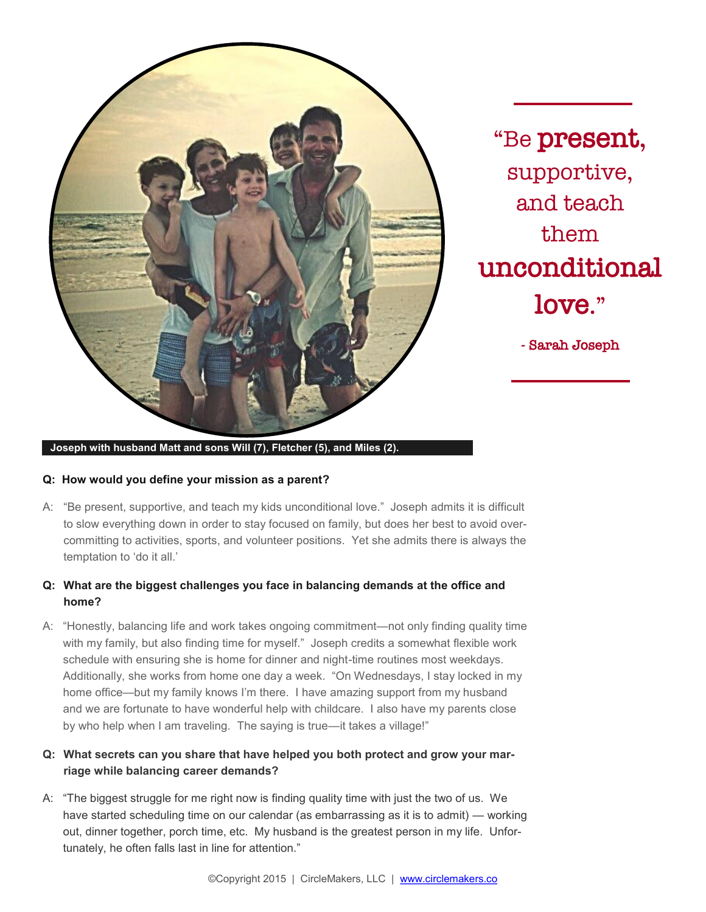

"Be present, supportive, and teach them unconditional love."

- Sarah Joseph

**Joseph with husband Matt and sons Will (7), Fletcher (5), and Miles (2).** 

#### **Q: How would you define your mission as a parent?**

A: "Be present, supportive, and teach my kids unconditional love." Joseph admits it is difficult to slow everything down in order to stay focused on family, but does her best to avoid overcommitting to activities, sports, and volunteer positions. Yet she admits there is always the temptation to 'do it all.'

### **Q: What are the biggest challenges you face in balancing demands at the office and home?**

A: "Honestly, balancing life and work takes ongoing commitment—not only finding quality time with my family, but also finding time for myself." Joseph credits a somewhat flexible work schedule with ensuring she is home for dinner and night-time routines most weekdays. Additionally, she works from home one day a week. "On Wednesdays, I stay locked in my home office—but my family knows I'm there. I have amazing support from my husband and we are fortunate to have wonderful help with childcare. I also have my parents close by who help when I am traveling. The saying is true—it takes a village!"

## **Q: What secrets can you share that have helped you both protect and grow your marriage while balancing career demands?**

A: "The biggest struggle for me right now is finding quality time with just the two of us. We have started scheduling time on our calendar (as embarrassing as it is to admit) — working out, dinner together, porch time, etc. My husband is the greatest person in my life. Unfortunately, he often falls last in line for attention."